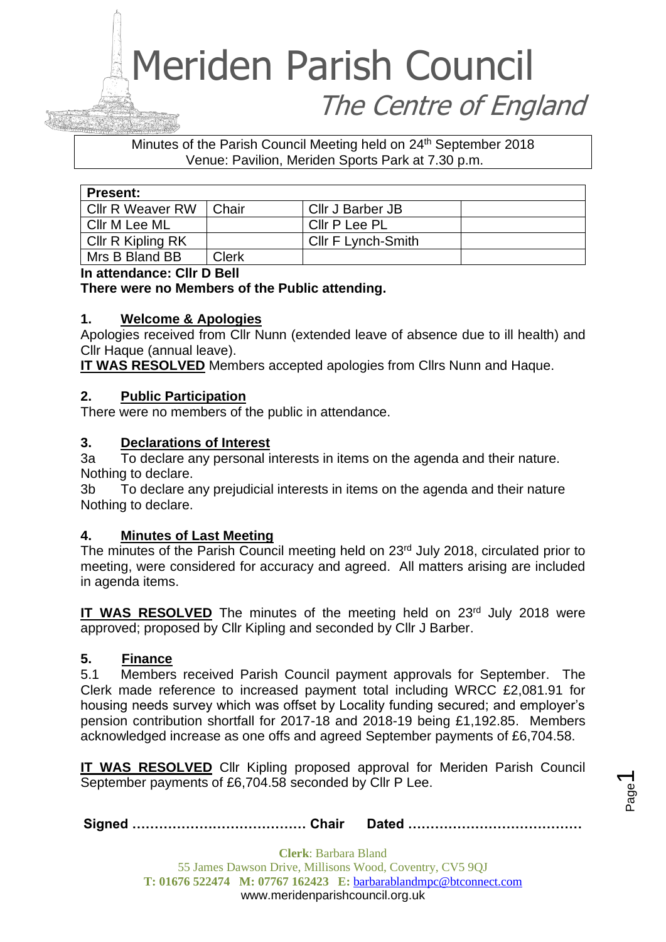#### Minutes of the Parish Council Meeting held on 24<sup>th</sup> September 2018 Venue: Pavilion, Meriden Sports Park at 7.30 p.m.

| <b>Present:</b>         |              |                           |  |
|-------------------------|--------------|---------------------------|--|
| <b>Cllr R Weaver RW</b> | Chair        | Cllr J Barber JB          |  |
| ⊩Cllr M Lee ML          |              | Cllr P Lee PL             |  |
| Cllr R Kipling RK       |              | <b>CIIr F Lynch-Smith</b> |  |
| Mrs B Bland BB          | <b>Clerk</b> |                           |  |

**In attendance: Cllr D Bell**

#### **There were no Members of the Public attending.**

#### **1. Welcome & Apologies**

Apologies received from Cllr Nunn (extended leave of absence due to ill health) and Cllr Haque (annual leave).

**IT WAS RESOLVED** Members accepted apologies from Cllrs Nunn and Haque.

#### **2. Public Participation**

There were no members of the public in attendance.

#### **3. Declarations of Interest**

3a To declare any personal interests in items on the agenda and their nature. Nothing to declare.

3b To declare any prejudicial interests in items on the agenda and their nature Nothing to declare.

#### **4. Minutes of Last Meeting**

The minutes of the Parish Council meeting held on 23<sup>rd</sup> July 2018, circulated prior to meeting, were considered for accuracy and agreed. All matters arising are included in agenda items.

**IT WAS RESOLVED** The minutes of the meeting held on 23<sup>rd</sup> July 2018 were approved; proposed by Cllr Kipling and seconded by Cllr J Barber.

#### **5. Finance**

5.1 Members received Parish Council payment approvals for September. The Clerk made reference to increased payment total including WRCC £2,081.91 for housing needs survey which was offset by Locality funding secured; and employer's pension contribution shortfall for 2017-18 and 2018-19 being £1,192.85. Members acknowledged increase as one offs and agreed September payments of £6,704.58.

**IT WAS RESOLVED** Cllr Kipling proposed approval for Meriden Parish Council September payments of £6,704.58 seconded by Cllr P Lee.

**Signed ………………………………… Chair Dated …………………………………**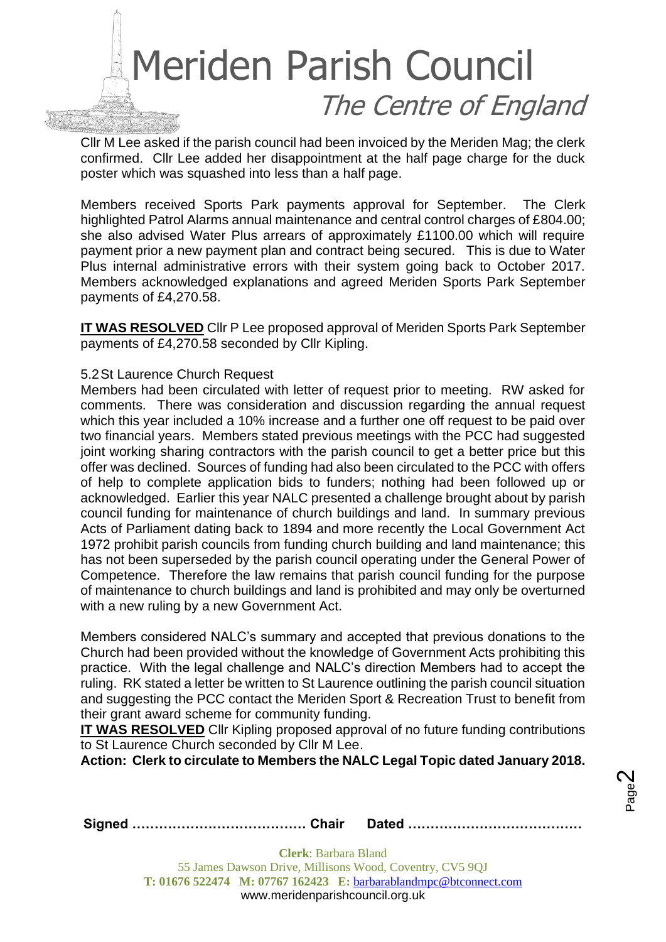

Cllr M Lee asked if the parish council had been invoiced by the Meriden Mag; the clerk confirmed. Cllr Lee added her disappointment at the half page charge for the duck poster which was squashed into less than a half page.

Members received Sports Park payments approval for September. The Clerk highlighted Patrol Alarms annual maintenance and central control charges of £804.00; she also advised Water Plus arrears of approximately £1100.00 which will require payment prior a new payment plan and contract being secured. This is due to Water Plus internal administrative errors with their system going back to October 2017. Members acknowledged explanations and agreed Meriden Sports Park September payments of £4,270.58.

**IT WAS RESOLVED** Cllr P Lee proposed approval of Meriden Sports Park September payments of £4,270.58 seconded by Cllr Kipling.

#### 5.2St Laurence Church Request

Members had been circulated with letter of request prior to meeting. RW asked for comments. There was consideration and discussion regarding the annual request which this year included a 10% increase and a further one off request to be paid over two financial years. Members stated previous meetings with the PCC had suggested joint working sharing contractors with the parish council to get a better price but this offer was declined. Sources of funding had also been circulated to the PCC with offers of help to complete application bids to funders; nothing had been followed up or acknowledged. Earlier this year NALC presented a challenge brought about by parish council funding for maintenance of church buildings and land. In summary previous Acts of Parliament dating back to 1894 and more recently the Local Government Act 1972 prohibit parish councils from funding church building and land maintenance; this has not been superseded by the parish council operating under the General Power of Competence. Therefore the law remains that parish council funding for the purpose of maintenance to church buildings and land is prohibited and may only be overturned with a new ruling by a new Government Act.

Members considered NALC's summary and accepted that previous donations to the Church had been provided without the knowledge of Government Acts prohibiting this practice. With the legal challenge and NALC's direction Members had to accept the ruling. RK stated a letter be written to St Laurence outlining the parish council situation and suggesting the PCC contact the Meriden Sport & Recreation Trust to benefit from their grant award scheme for community funding.

**IT WAS RESOLVED** Cllr Kipling proposed approval of no future funding contributions to St Laurence Church seconded by Cllr M Lee.

**Action: Clerk to circulate to Members the NALC Legal Topic dated January 2018.**

Page  $\boldsymbol{\sim}$ 

**Signed ………………………………… Chair Dated …………………………………**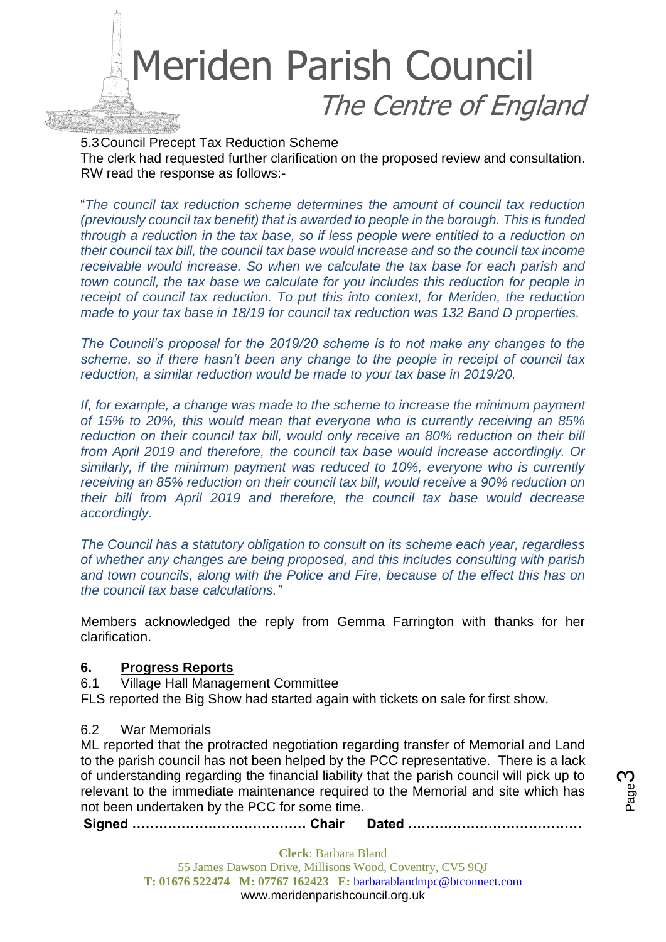

5.3Council Precept Tax Reduction Scheme The clerk had requested further clarification on the proposed review and consultation. RW read the response as follows:-

"*The council tax reduction scheme determines the amount of council tax reduction (previously council tax benefit) that is awarded to people in the borough. This is funded through a reduction in the tax base, so if less people were entitled to a reduction on their council tax bill, the council tax base would increase and so the council tax income receivable would increase. So when we calculate the tax base for each parish and town council, the tax base we calculate for you includes this reduction for people in receipt of council tax reduction. To put this into context, for Meriden, the reduction made to your tax base in 18/19 for council tax reduction was 132 Band D properties.* 

*The Council's proposal for the 2019/20 scheme is to not make any changes to the scheme, so if there hasn't been any change to the people in receipt of council tax reduction, a similar reduction would be made to your tax base in 2019/20.* 

*If, for example, a change was made to the scheme to increase the minimum payment of 15% to 20%, this would mean that everyone who is currently receiving an 85% reduction on their council tax bill, would only receive an 80% reduction on their bill from April 2019 and therefore, the council tax base would increase accordingly. Or similarly, if the minimum payment was reduced to 10%, everyone who is currently receiving an 85% reduction on their council tax bill, would receive a 90% reduction on their bill from April 2019 and therefore, the council tax base would decrease accordingly.*

*The Council has a statutory obligation to consult on its scheme each year, regardless of whether any changes are being proposed, and this includes consulting with parish and town councils, along with the Police and Fire, because of the effect this has on the council tax base calculations."*

Members acknowledged the reply from Gemma Farrington with thanks for her clarification.

#### **6. Progress Reports**

6.1 Village Hall Management Committee

FLS reported the Big Show had started again with tickets on sale for first show.

#### 6.2 War Memorials

ML reported that the protracted negotiation regarding transfer of Memorial and Land to the parish council has not been helped by the PCC representative. There is a lack of understanding regarding the financial liability that the parish council will pick up to relevant to the immediate maintenance required to the Memorial and site which has not been undertaken by the PCC for some time.

**Signed ………………………………… Chair Dated …………………………………**

**Clerk**: Barbara Bland 55 James Dawson Drive, Millisons Wood, Coventry, CV5 9QJ **T: 01676 522474 M: 07767 162423 E:** [barbarablandmpc@btconnect.com](mailto:barbarablandmpc@btconnect.com) www.meridenparishcouncil.org.uk

Page ო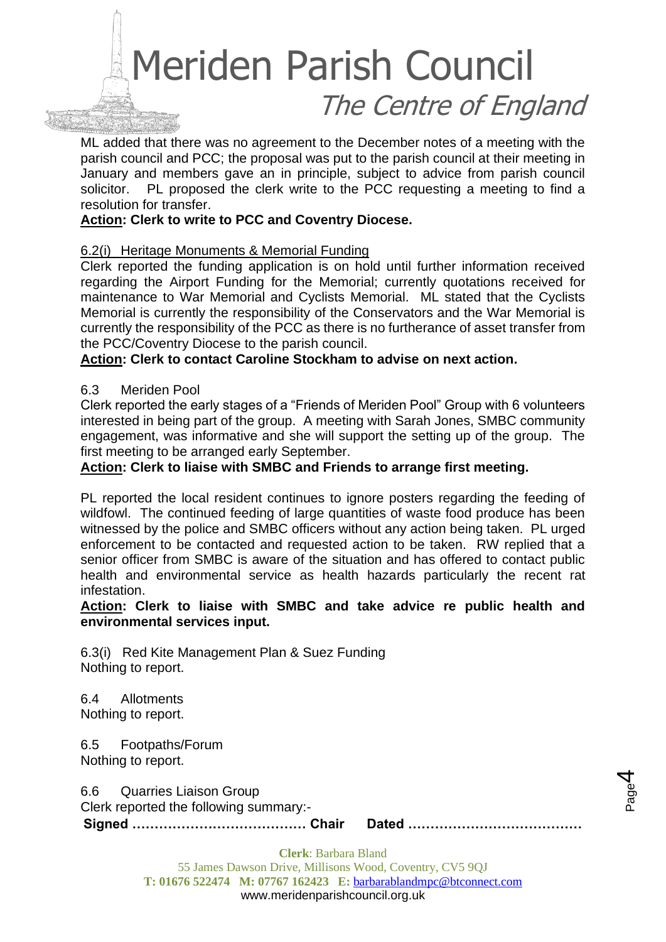ML added that there was no agreement to the December notes of a meeting with the parish council and PCC; the proposal was put to the parish council at their meeting in January and members gave an in principle, subject to advice from parish council solicitor. PL proposed the clerk write to the PCC requesting a meeting to find a resolution for transfer.

#### **Action: Clerk to write to PCC and Coventry Diocese.**

#### 6.2(i) Heritage Monuments & Memorial Funding

Clerk reported the funding application is on hold until further information received regarding the Airport Funding for the Memorial; currently quotations received for maintenance to War Memorial and Cyclists Memorial. ML stated that the Cyclists Memorial is currently the responsibility of the Conservators and the War Memorial is currently the responsibility of the PCC as there is no furtherance of asset transfer from the PCC/Coventry Diocese to the parish council.

#### **Action: Clerk to contact Caroline Stockham to advise on next action.**

#### 6.3 Meriden Pool

Clerk reported the early stages of a "Friends of Meriden Pool" Group with 6 volunteers interested in being part of the group. A meeting with Sarah Jones, SMBC community engagement, was informative and she will support the setting up of the group. The first meeting to be arranged early September.

#### **Action: Clerk to liaise with SMBC and Friends to arrange first meeting.**

PL reported the local resident continues to ignore posters regarding the feeding of wildfowl. The continued feeding of large quantities of waste food produce has been witnessed by the police and SMBC officers without any action being taken. PL urged enforcement to be contacted and requested action to be taken. RW replied that a senior officer from SMBC is aware of the situation and has offered to contact public health and environmental service as health hazards particularly the recent rat infestation.

#### **Action: Clerk to liaise with SMBC and take advice re public health and environmental services input.**

6.3(i) Red Kite Management Plan & Suez Funding Nothing to report.

6.4 Allotments Nothing to report.

6.5 Footpaths/Forum Nothing to report.

6.6 Quarries Liaison Group

**Signed ………………………………… Chair Dated …………………………………** Clerk reported the following summary:-

Page 4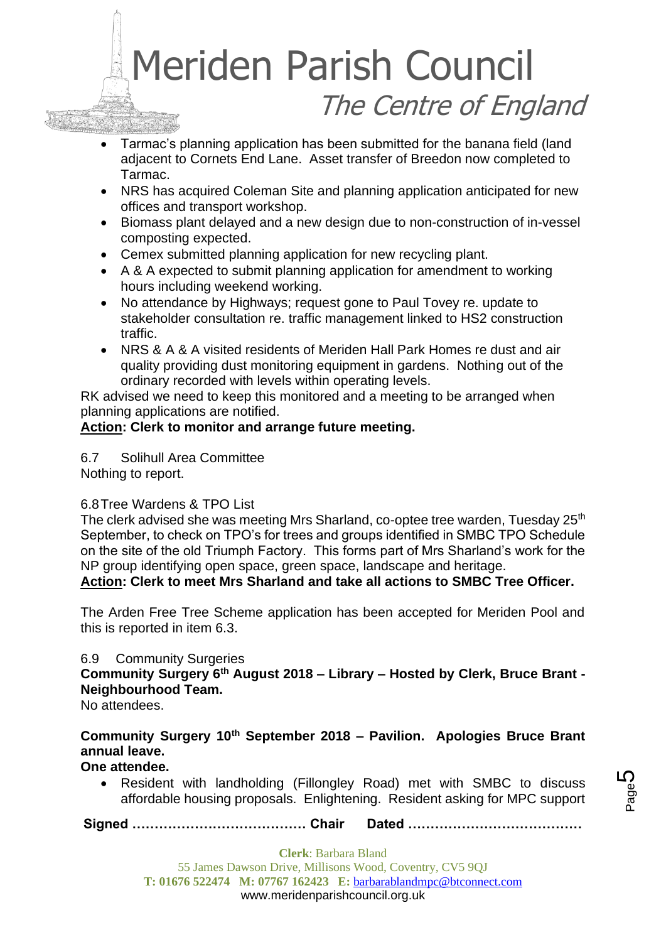- Tarmac's planning application has been submitted for the banana field (land adjacent to Cornets End Lane. Asset transfer of Breedon now completed to Tarmac.
- NRS has acquired Coleman Site and planning application anticipated for new offices and transport workshop.
- Biomass plant delayed and a new design due to non-construction of in-vessel composting expected.
- Cemex submitted planning application for new recycling plant.
- A & A expected to submit planning application for amendment to working hours including weekend working.
- No attendance by Highways; request gone to Paul Tovey re. update to stakeholder consultation re. traffic management linked to HS2 construction traffic.
- NRS & A & A visited residents of Meriden Hall Park Homes re dust and air quality providing dust monitoring equipment in gardens. Nothing out of the ordinary recorded with levels within operating levels.

RK advised we need to keep this monitored and a meeting to be arranged when planning applications are notified.

#### **Action: Clerk to monitor and arrange future meeting.**

6.7 Solihull Area Committee

Nothing to report.

#### 6.8Tree Wardens & TPO List

The clerk advised she was meeting Mrs Sharland, co-optee tree warden, Tuesday 25<sup>th</sup> September, to check on TPO's for trees and groups identified in SMBC TPO Schedule on the site of the old Triumph Factory. This forms part of Mrs Sharland's work for the NP group identifying open space, green space, landscape and heritage.

#### **Action: Clerk to meet Mrs Sharland and take all actions to SMBC Tree Officer.**

The Arden Free Tree Scheme application has been accepted for Meriden Pool and this is reported in item 6.3.

#### 6.9 Community Surgeries

**Community Surgery 6th August 2018 – Library – Hosted by Clerk, Bruce Brant - Neighbourhood Team.**

No attendees.

#### **Community Surgery 10th September 2018 – Pavilion. Apologies Bruce Brant annual leave.**

#### **One attendee.**

• Resident with landholding (Fillongley Road) met with SMBC to discuss affordable housing proposals. Enlightening. Resident asking for MPC support

**Signed ………………………………… Chair Dated …………………………………**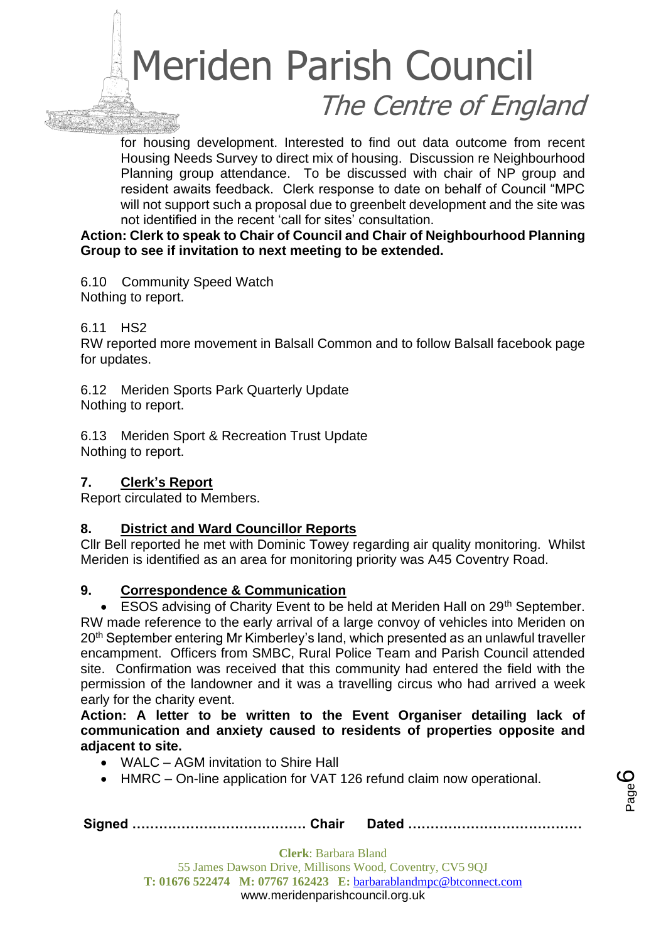for housing development. Interested to find out data outcome from recent Housing Needs Survey to direct mix of housing. Discussion re Neighbourhood Planning group attendance. To be discussed with chair of NP group and resident awaits feedback. Clerk response to date on behalf of Council "MPC will not support such a proposal due to greenbelt development and the site was not identified in the recent 'call for sites' consultation.

#### **Action: Clerk to speak to Chair of Council and Chair of Neighbourhood Planning Group to see if invitation to next meeting to be extended.**

6.10 Community Speed Watch Nothing to report.

#### 6.11 HS2

RW reported more movement in Balsall Common and to follow Balsall facebook page for updates.

6.12 Meriden Sports Park Quarterly Update Nothing to report.

6.13 Meriden Sport & Recreation Trust Update Nothing to report.

#### **7. Clerk's Report**

Report circulated to Members.

#### **8. District and Ward Councillor Reports**

Cllr Bell reported he met with Dominic Towey regarding air quality monitoring. Whilst Meriden is identified as an area for monitoring priority was A45 Coventry Road.

#### **9. Correspondence & Communication**

• ESOS advising of Charity Event to be held at Meriden Hall on 29<sup>th</sup> September. RW made reference to the early arrival of a large convoy of vehicles into Meriden on 20<sup>th</sup> September entering Mr Kimberley's land, which presented as an unlawful traveller encampment. Officers from SMBC, Rural Police Team and Parish Council attended site. Confirmation was received that this community had entered the field with the permission of the landowner and it was a travelling circus who had arrived a week early for the charity event.

**Action: A letter to be written to the Event Organiser detailing lack of communication and anxiety caused to residents of properties opposite and adjacent to site.** 

- WALC AGM invitation to Shire Hall
- HMRC On-line application for VAT 126 refund claim now operational.

**Signed ………………………………… Chair Dated …………………………………**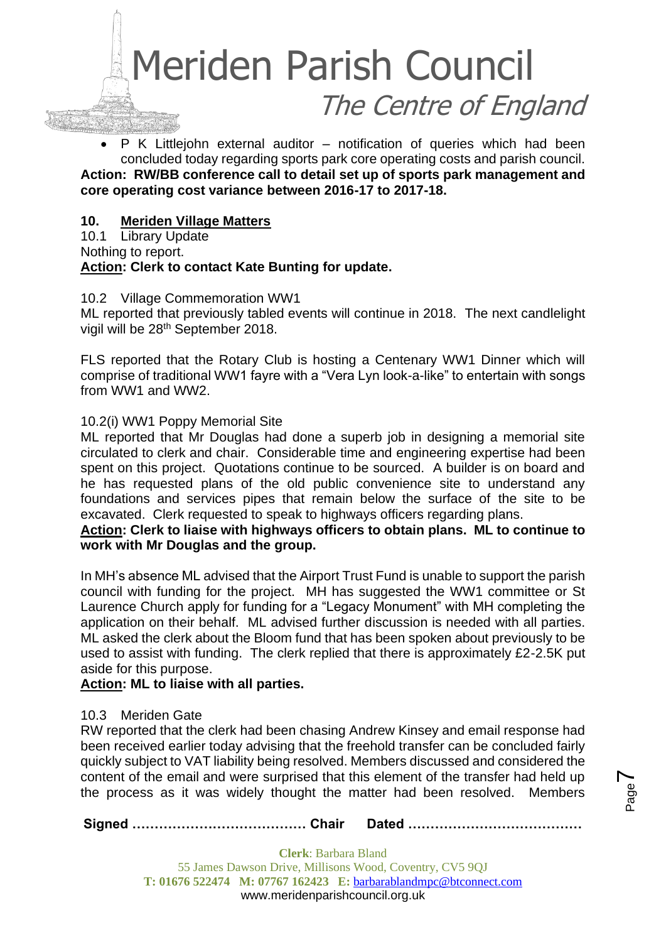

• P K Littlejohn external auditor – notification of queries which had been concluded today regarding sports park core operating costs and parish council. **Action: RW/BB conference call to detail set up of sports park management and core operating cost variance between 2016-17 to 2017-18.**

#### **10. Meriden Village Matters**

10.1 Library Update Nothing to report. **Action: Clerk to contact Kate Bunting for update.**

#### 10.2 Village Commemoration WW1

ML reported that previously tabled events will continue in 2018. The next candlelight vigil will be 28<sup>th</sup> September 2018.

FLS reported that the Rotary Club is hosting a Centenary WW1 Dinner which will comprise of traditional WW1 fayre with a "Vera Lyn look-a-like" to entertain with songs from WW1 and WW2.

#### 10.2(i) WW1 Poppy Memorial Site

ML reported that Mr Douglas had done a superb job in designing a memorial site circulated to clerk and chair. Considerable time and engineering expertise had been spent on this project. Quotations continue to be sourced. A builder is on board and he has requested plans of the old public convenience site to understand any foundations and services pipes that remain below the surface of the site to be excavated. Clerk requested to speak to highways officers regarding plans.

#### **Action: Clerk to liaise with highways officers to obtain plans. ML to continue to work with Mr Douglas and the group.**

In MH's absence ML advised that the Airport Trust Fund is unable to support the parish council with funding for the project. MH has suggested the WW1 committee or St Laurence Church apply for funding for a "Legacy Monument" with MH completing the application on their behalf. ML advised further discussion is needed with all parties. ML asked the clerk about the Bloom fund that has been spoken about previously to be used to assist with funding. The clerk replied that there is approximately £2-2.5K put aside for this purpose.

#### **Action: ML to liaise with all parties.**

#### 10.3 Meriden Gate

RW reported that the clerk had been chasing Andrew Kinsey and email response had been received earlier today advising that the freehold transfer can be concluded fairly quickly subject to VAT liability being resolved. Members discussed and considered the content of the email and were surprised that this element of the transfer had held up the process as it was widely thought the matter had been resolved. Members

Page  $\blacktriangleright$ 

**Signed ………………………………… Chair Dated …………………………………**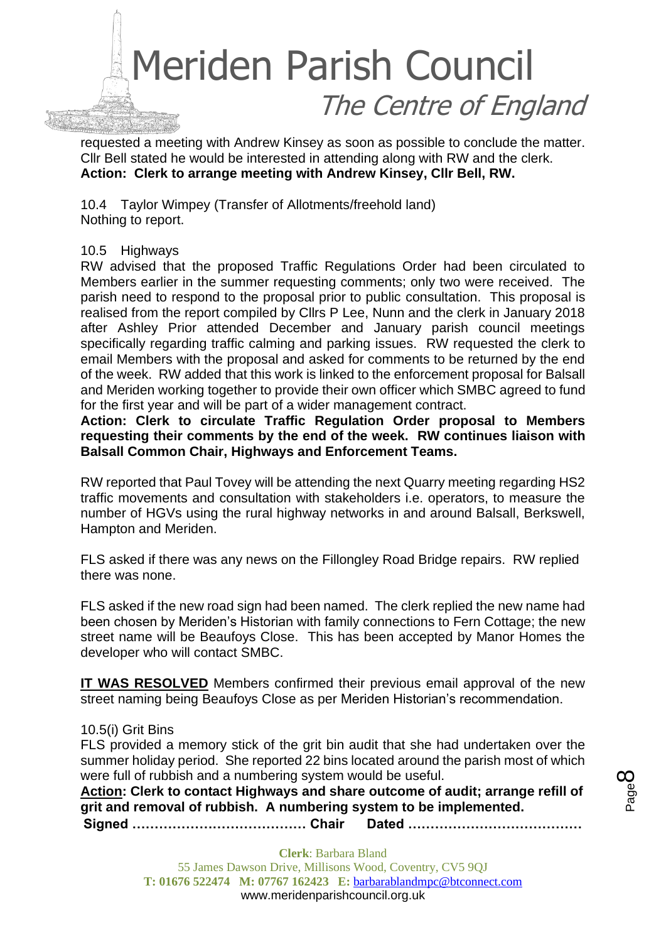

requested a meeting with Andrew Kinsey as soon as possible to conclude the matter. Cllr Bell stated he would be interested in attending along with RW and the clerk. **Action: Clerk to arrange meeting with Andrew Kinsey, Cllr Bell, RW.**

10.4 Taylor Wimpey (Transfer of Allotments/freehold land) Nothing to report.

10.5 Highways

RW advised that the proposed Traffic Regulations Order had been circulated to Members earlier in the summer requesting comments; only two were received. The parish need to respond to the proposal prior to public consultation. This proposal is realised from the report compiled by Cllrs P Lee, Nunn and the clerk in January 2018 after Ashley Prior attended December and January parish council meetings specifically regarding traffic calming and parking issues. RW requested the clerk to email Members with the proposal and asked for comments to be returned by the end of the week. RW added that this work is linked to the enforcement proposal for Balsall and Meriden working together to provide their own officer which SMBC agreed to fund for the first year and will be part of a wider management contract.

**Action: Clerk to circulate Traffic Regulation Order proposal to Members requesting their comments by the end of the week. RW continues liaison with Balsall Common Chair, Highways and Enforcement Teams.**

RW reported that Paul Tovey will be attending the next Quarry meeting regarding HS2 traffic movements and consultation with stakeholders i.e. operators, to measure the number of HGVs using the rural highway networks in and around Balsall, Berkswell, Hampton and Meriden.

FLS asked if there was any news on the Fillongley Road Bridge repairs. RW replied there was none.

FLS asked if the new road sign had been named. The clerk replied the new name had been chosen by Meriden's Historian with family connections to Fern Cottage; the new street name will be Beaufoys Close. This has been accepted by Manor Homes the developer who will contact SMBC.

**IT WAS RESOLVED** Members confirmed their previous email approval of the new street naming being Beaufoys Close as per Meriden Historian's recommendation.

#### 10.5(i) Grit Bins

FLS provided a memory stick of the grit bin audit that she had undertaken over the summer holiday period. She reported 22 bins located around the parish most of which were full of rubbish and a numbering system would be useful.

**Action: Clerk to contact Highways and share outcome of audit; arrange refill of grit and removal of rubbish. A numbering system to be implemented.**

**Signed ………………………………… Chair Dated …………………………………**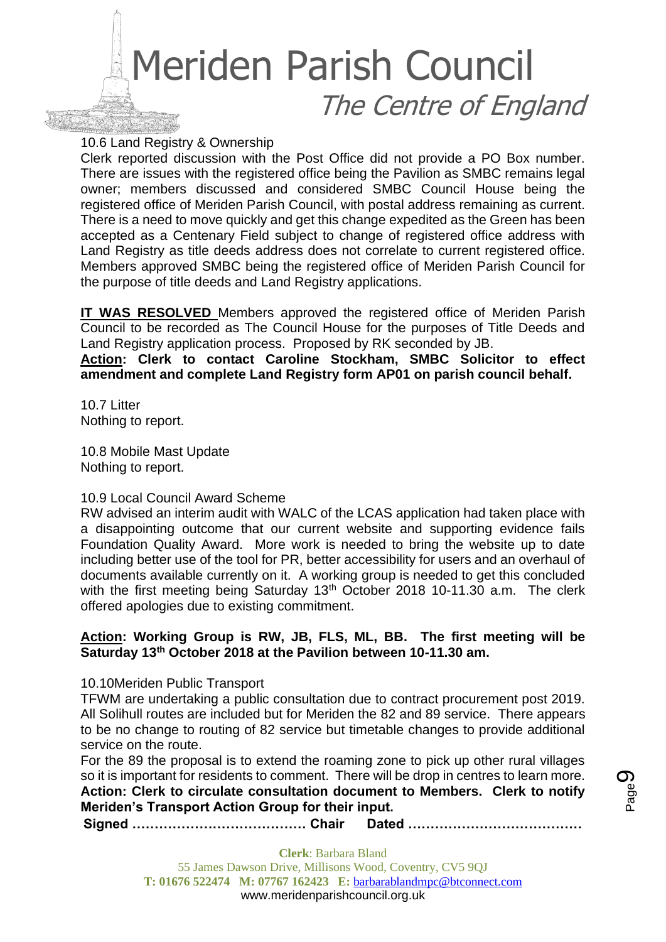

10.6 Land Registry & Ownership

Clerk reported discussion with the Post Office did not provide a PO Box number. There are issues with the registered office being the Pavilion as SMBC remains legal owner; members discussed and considered SMBC Council House being the registered office of Meriden Parish Council, with postal address remaining as current. There is a need to move quickly and get this change expedited as the Green has been accepted as a Centenary Field subject to change of registered office address with Land Registry as title deeds address does not correlate to current registered office. Members approved SMBC being the registered office of Meriden Parish Council for the purpose of title deeds and Land Registry applications.

**IT WAS RESOLVED** Members approved the registered office of Meriden Parish Council to be recorded as The Council House for the purposes of Title Deeds and Land Registry application process. Proposed by RK seconded by JB.

**Action: Clerk to contact Caroline Stockham, SMBC Solicitor to effect amendment and complete Land Registry form AP01 on parish council behalf.**

10.7 Litter Nothing to report.

10.8 Mobile Mast Update Nothing to report.

#### 10.9 Local Council Award Scheme

RW advised an interim audit with WALC of the LCAS application had taken place with a disappointing outcome that our current website and supporting evidence fails Foundation Quality Award. More work is needed to bring the website up to date including better use of the tool for PR, better accessibility for users and an overhaul of documents available currently on it. A working group is needed to get this concluded with the first meeting being Saturday 13<sup>th</sup> October 2018 10-11.30 a.m. The clerk offered apologies due to existing commitment.

#### **Action: Working Group is RW, JB, FLS, ML, BB. The first meeting will be Saturday 13th October 2018 at the Pavilion between 10-11.30 am.**

10.10Meriden Public Transport

TFWM are undertaking a public consultation due to contract procurement post 2019. All Solihull routes are included but for Meriden the 82 and 89 service. There appears to be no change to routing of 82 service but timetable changes to provide additional service on the route.

For the 89 the proposal is to extend the roaming zone to pick up other rural villages so it is important for residents to comment. There will be drop in centres to learn more. **Action: Clerk to circulate consultation document to Members. Clerk to notify Meriden's Transport Action Group for their input.**

**Signed ………………………………… Chair Dated …………………………………**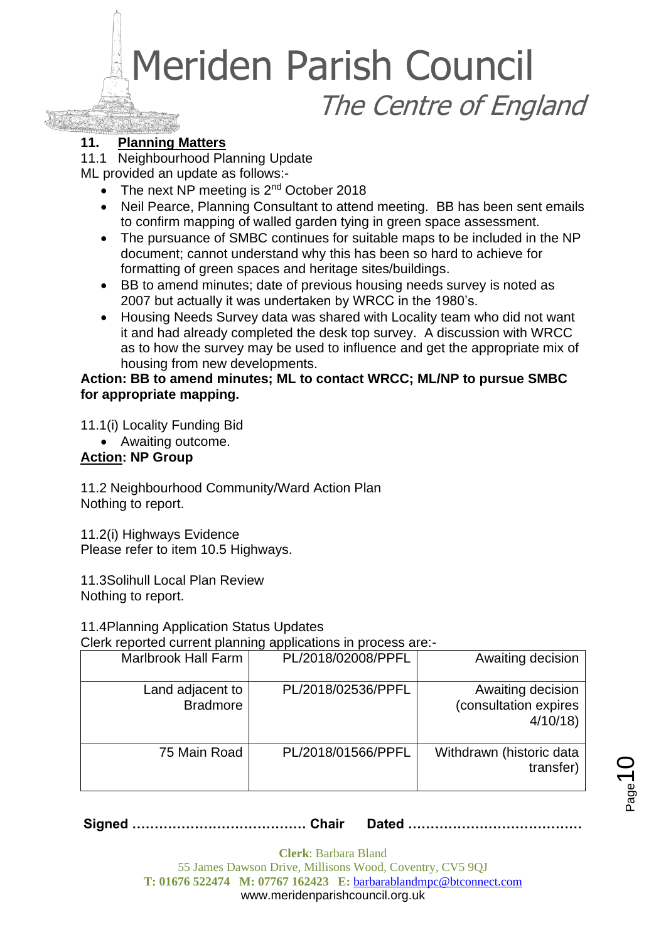#### **11. Planning Matters**

11.1 Neighbourhood Planning Update

ML provided an update as follows:-

- The next NP meeting is 2<sup>nd</sup> October 2018
- Neil Pearce, Planning Consultant to attend meeting. BB has been sent emails to confirm mapping of walled garden tying in green space assessment.
- The pursuance of SMBC continues for suitable maps to be included in the NP document; cannot understand why this has been so hard to achieve for formatting of green spaces and heritage sites/buildings.
- BB to amend minutes; date of previous housing needs survey is noted as 2007 but actually it was undertaken by WRCC in the 1980's.
- Housing Needs Survey data was shared with Locality team who did not want it and had already completed the desk top survey. A discussion with WRCC as to how the survey may be used to influence and get the appropriate mix of housing from new developments.

#### **Action: BB to amend minutes; ML to contact WRCC; ML/NP to pursue SMBC for appropriate mapping.**

11.1(i) Locality Funding Bid

• Awaiting outcome.

#### **Action: NP Group**

11.2 Neighbourhood Community/Ward Action Plan Nothing to report.

11.2(i) Highways Evidence Please refer to item 10.5 Highways.

11.3Solihull Local Plan Review Nothing to report.

11.4Planning Application Status Updates

Clerk reported current planning applications in process are:-

| <b>Marlbrook Hall Farm</b>          | PL/2018/02008/PPFL | Awaiting decision                                     |
|-------------------------------------|--------------------|-------------------------------------------------------|
| Land adjacent to<br><b>Bradmore</b> | PL/2018/02536/PPFL | Awaiting decision<br>(consultation expires<br>4/10/18 |
| 75 Main Road                        | PL/2018/01566/PPFL | Withdrawn (historic data<br>transfer)                 |

**Signed ………………………………… Chair Dated …………………………………**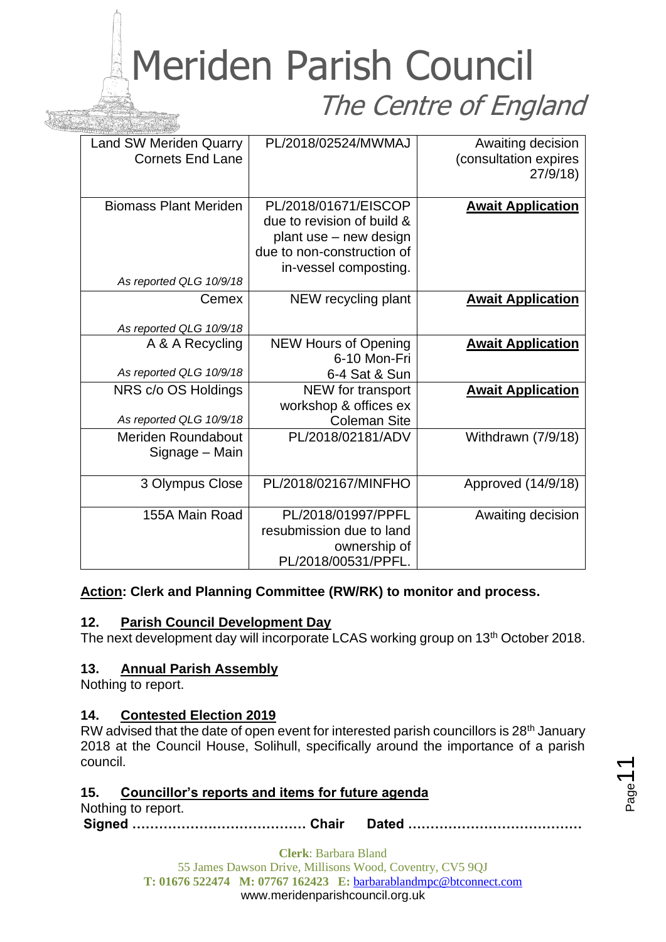| <b>Land SW Meriden Quarry</b><br><b>Cornets End Lane</b> | PL/2018/02524/MWMAJ         | Awaiting decision<br>(consultation expires<br>27/9/18 |
|----------------------------------------------------------|-----------------------------|-------------------------------------------------------|
|                                                          |                             |                                                       |
| <b>Biomass Plant Meriden</b>                             | PL/2018/01671/EISCOP        | <b>Await Application</b>                              |
|                                                          | due to revision of build &  |                                                       |
|                                                          | plant use - new design      |                                                       |
|                                                          | due to non-construction of  |                                                       |
|                                                          | in-vessel composting.       |                                                       |
| As reported QLG 10/9/18                                  |                             |                                                       |
| Cemex                                                    | NEW recycling plant         | <b>Await Application</b>                              |
|                                                          |                             |                                                       |
| As reported QLG 10/9/18                                  |                             |                                                       |
| A & A Recycling                                          | <b>NEW Hours of Opening</b> | <b>Await Application</b>                              |
|                                                          | 6-10 Mon-Fri                |                                                       |
| As reported QLG 10/9/18                                  | 6-4 Sat & Sun               |                                                       |
| NRS c/o OS Holdings                                      | NEW for transport           | <b>Await Application</b>                              |
|                                                          | workshop & offices ex       |                                                       |
| As reported QLG 10/9/18                                  | <b>Coleman Site</b>         |                                                       |
| <b>Meriden Roundabout</b>                                | PL/2018/02181/ADV           | Withdrawn (7/9/18)                                    |
| Signage - Main                                           |                             |                                                       |
|                                                          |                             |                                                       |
| 3 Olympus Close                                          | PL/2018/02167/MINFHO        | Approved (14/9/18)                                    |
|                                                          |                             |                                                       |
| 155A Main Road                                           | PL/2018/01997/PPFL          | Awaiting decision                                     |
|                                                          | resubmission due to land    |                                                       |
|                                                          | ownership of                |                                                       |
|                                                          | PL/2018/00531/PPFL.         |                                                       |
|                                                          |                             |                                                       |

#### **Action: Clerk and Planning Committee (RW/RK) to monitor and process.**

#### **12. Parish Council Development Day**

The next development day will incorporate LCAS working group on 13<sup>th</sup> October 2018.

#### **13. Annual Parish Assembly**

Nothing to report.

#### **14. Contested Election 2019**

RW advised that the date of open event for interested parish councillors is 28<sup>th</sup> January 2018 at the Council House, Solihull, specifically around the importance of a parish council.

#### **15. Councillor's reports and items for future agenda**

Nothing to report.

**Signed ………………………………… Chair Dated …………………………………**